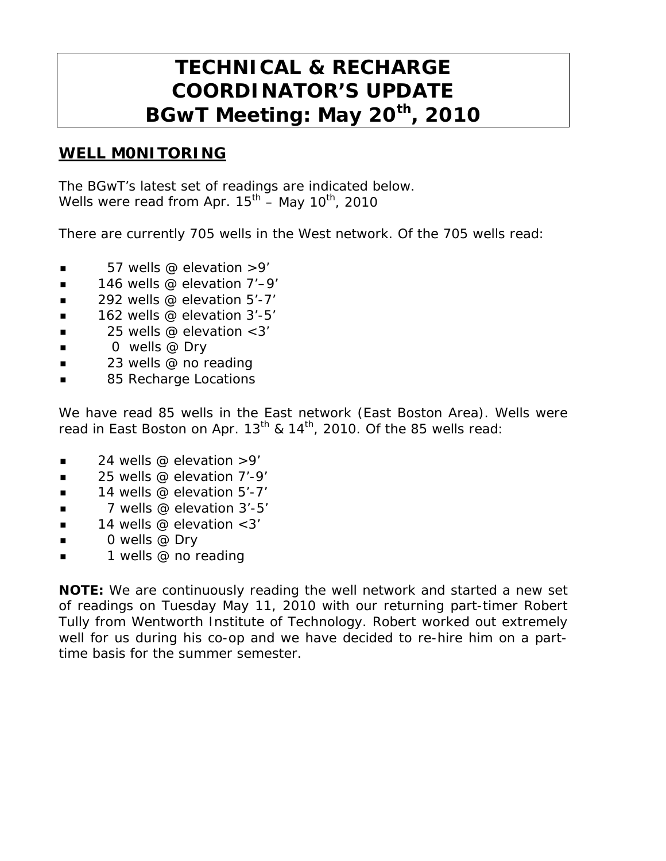# **TECHNICAL & RECHARGE COORDINATOR'S UPDATE BGwT Meeting: May 20th, 2010**

#### **WELL M0NITORING**

The BGwT's latest set of readings are indicated below. Wells were read from Apr.  $15^{th}$  – May  $10^{th}$ , 2010

There are currently 705 wells in the West network. Of the 705 wells read:

- $\blacksquare$  57 wells @ elevation >9'
- 146 wells @ elevation 7'–9'
- 292 wells @ elevation 5'-7'
- $\blacksquare$  162 wells @ elevation 3'-5'
- $\blacksquare$  25 wells @ elevation < 3'
- $\Box$  0 wells @ Dry
- 23 wells @ no reading
- 85 Recharge Locations

We have read 85 wells in the East network (East Boston Area). Wells were read in East Boston on Apr.  $13^{th}$  &  $14^{th}$ , 2010. Of the 85 wells read:

- $\blacksquare$  24 wells @ elevation >9'
- $\blacksquare$  25 wells @ elevation 7'-9'
- $\blacksquare$  14 wells @ elevation 5'-7'
- $\blacksquare$  7 wells @ elevation 3'-5'
- $\blacksquare$  14 wells @ elevation <3'
- $\Box$  0 wells @ Dry
- **1** wells @ no reading

**NOTE:** We are continuously reading the well network and started a new set of readings on Tuesday May 11, 2010 with our returning part-timer Robert Tully from Wentworth Institute of Technology. Robert worked out extremely well for us during his co-op and we have decided to re-hire him on a parttime basis for the summer semester.